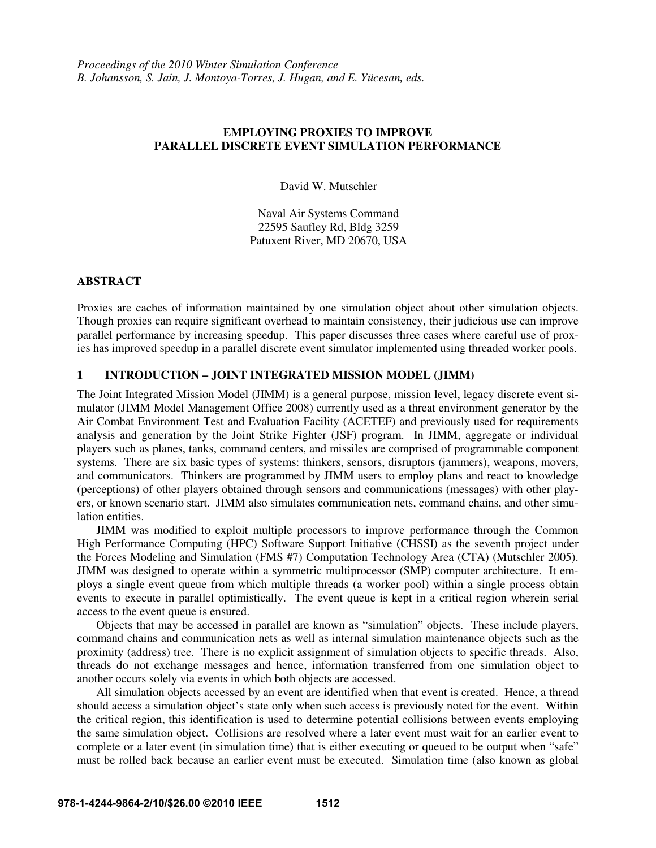# **EMPLOYING PROXIES TO IMPROVE PARALLEL DISCRETE EVENT SIMULATION PERFORMANCE**

David W. Mutschler

Naval Air Systems Command 22595 Saufley Rd, Bldg 3259 Patuxent River, MD 20670, USA

#### **ABSTRACT**

Proxies are caches of information maintained by one simulation object about other simulation objects. Though proxies can require significant overhead to maintain consistency, their judicious use can improve parallel performance by increasing speedup. This paper discusses three cases where careful use of proxies has improved speedup in a parallel discrete event simulator implemented using threaded worker pools.

# **1 INTRODUCTION – JOINT INTEGRATED MISSION MODEL (JIMM)**

The Joint Integrated Mission Model (JIMM) is a general purpose, mission level, legacy discrete event simulator (JIMM Model Management Office 2008) currently used as a threat environment generator by the Air Combat Environment Test and Evaluation Facility (ACETEF) and previously used for requirements analysis and generation by the Joint Strike Fighter (JSF) program. In JIMM, aggregate or individual players such as planes, tanks, command centers, and missiles are comprised of programmable component systems. There are six basic types of systems: thinkers, sensors, disruptors (jammers), weapons, movers, and communicators. Thinkers are programmed by JIMM users to employ plans and react to knowledge (perceptions) of other players obtained through sensors and communications (messages) with other players, or known scenario start. JIMM also simulates communication nets, command chains, and other simulation entities.

JIMM was modified to exploit multiple processors to improve performance through the Common High Performance Computing (HPC) Software Support Initiative (CHSSI) as the seventh project under the Forces Modeling and Simulation (FMS #7) Computation Technology Area (CTA) (Mutschler 2005). JIMM was designed to operate within a symmetric multiprocessor (SMP) computer architecture. It employs a single event queue from which multiple threads (a worker pool) within a single process obtain events to execute in parallel optimistically. The event queue is kept in a critical region wherein serial access to the event queue is ensured.

Objects that may be accessed in parallel are known as "simulation" objects. These include players, command chains and communication nets as well as internal simulation maintenance objects such as the proximity (address) tree. There is no explicit assignment of simulation objects to specific threads. Also, threads do not exchange messages and hence, information transferred from one simulation object to another occurs solely via events in which both objects are accessed.

All simulation objects accessed by an event are identified when that event is created. Hence, a thread should access a simulation object's state only when such access is previously noted for the event. Within the critical region, this identification is used to determine potential collisions between events employing the same simulation object. Collisions are resolved where a later event must wait for an earlier event to complete or a later event (in simulation time) that is either executing or queued to be output when "safe" must be rolled back because an earlier event must be executed. Simulation time (also known as global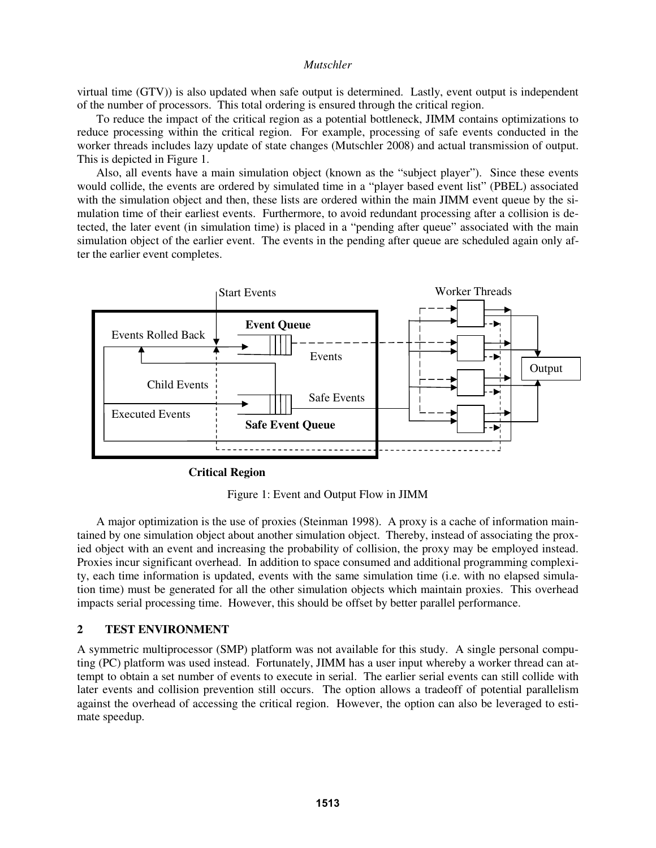virtual time (GTV)) is also updated when safe output is determined. Lastly, event output is independent of the number of processors. This total ordering is ensured through the critical region.

To reduce the impact of the critical region as a potential bottleneck, JIMM contains optimizations to reduce processing within the critical region. For example, processing of safe events conducted in the worker threads includes lazy update of state changes (Mutschler 2008) and actual transmission of output. This is depicted in Figure 1.

Also, all events have a main simulation object (known as the "subject player"). Since these events would collide, the events are ordered by simulated time in a "player based event list" (PBEL) associated with the simulation object and then, these lists are ordered within the main JIMM event queue by the simulation time of their earliest events. Furthermore, to avoid redundant processing after a collision is detected, the later event (in simulation time) is placed in a "pending after queue" associated with the main simulation object of the earlier event. The events in the pending after queue are scheduled again only after the earlier event completes.



**Critical Region**

Figure 1: Event and Output Flow in JIMM

A major optimization is the use of proxies (Steinman 1998). A proxy is a cache of information maintained by one simulation object about another simulation object. Thereby, instead of associating the proxied object with an event and increasing the probability of collision, the proxy may be employed instead. Proxies incur significant overhead. In addition to space consumed and additional programming complexity, each time information is updated, events with the same simulation time (i.e. with no elapsed simulation time) must be generated for all the other simulation objects which maintain proxies. This overhead impacts serial processing time. However, this should be offset by better parallel performance.

### **2 TEST ENVIRONMENT**

A symmetric multiprocessor (SMP) platform was not available for this study. A single personal computing (PC) platform was used instead. Fortunately, JIMM has a user input whereby a worker thread can attempt to obtain a set number of events to execute in serial. The earlier serial events can still collide with later events and collision prevention still occurs. The option allows a tradeoff of potential parallelism against the overhead of accessing the critical region. However, the option can also be leveraged to estimate speedup.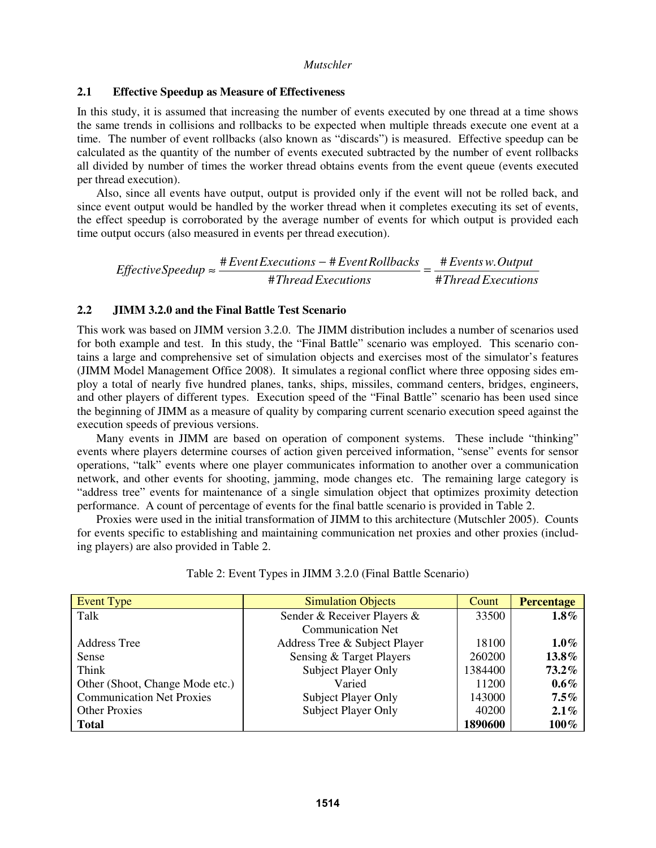### **2.1 Effective Speedup as Measure of Effectiveness**

In this study, it is assumed that increasing the number of events executed by one thread at a time shows the same trends in collisions and rollbacks to be expected when multiple threads execute one event at a time. The number of event rollbacks (also known as "discards") is measured. Effective speedup can be calculated as the quantity of the number of events executed subtracted by the number of event rollbacks all divided by number of times the worker thread obtains events from the event queue (events executed per thread execution).

Also, since all events have output, output is provided only if the event will not be rolled back, and since event output would be handled by the worker thread when it completes executing its set of events, the effect speedup is corroborated by the average number of events for which output is provided each time output occurs (also measured in events per thread execution).

*Thread Executions* Events w.Output  $Effective Speedup \approx \frac{\# Event Exceptions - \# Event Relations}{\# Thread Excutions} = \frac{\# Events \, w.}{\# Thread Excutions}$ #  $\approx \frac{\text{\# Event Exceptions} - \text{\# Event Rollbacks}}{\text{# Event} + \text{# event} + \text{#} + \text{#} + \text{#} + \text{#} + \text{#} + \text{#} + \text{#} + \text{#} + \text{#} + \text{#} + \text{#} + \text{#} + \text{#} + \text{#} + \text{#} + \text{#} + \text{#} + \text{#} + \text{#} + \text{#} + \text{#} + \text{#} + \text{#} + \text{#} + \text{#} + \text{#} + \text{#} + \text{#} + \text{#} + \text{#} + \text{#} +$ 

### **2.2 JIMM 3.2.0 and the Final Battle Test Scenario**

This work was based on JIMM version 3.2.0. The JIMM distribution includes a number of scenarios used for both example and test. In this study, the "Final Battle" scenario was employed. This scenario contains a large and comprehensive set of simulation objects and exercises most of the simulator's features (JIMM Model Management Office 2008). It simulates a regional conflict where three opposing sides employ a total of nearly five hundred planes, tanks, ships, missiles, command centers, bridges, engineers, and other players of different types. Execution speed of the "Final Battle" scenario has been used since the beginning of JIMM as a measure of quality by comparing current scenario execution speed against the execution speeds of previous versions.

Many events in JIMM are based on operation of component systems. These include "thinking" events where players determine courses of action given perceived information, "sense" events for sensor operations, "talk" events where one player communicates information to another over a communication network, and other events for shooting, jamming, mode changes etc. The remaining large category is "address tree" events for maintenance of a single simulation object that optimizes proximity detection performance. A count of percentage of events for the final battle scenario is provided in Table 2.

Proxies were used in the initial transformation of JIMM to this architecture (Mutschler 2005). Counts for events specific to establishing and maintaining communication net proxies and other proxies (including players) are also provided in Table 2.

| Event Type                       | <b>Simulation Objects</b>     | Count   | <b>Percentage</b> |
|----------------------------------|-------------------------------|---------|-------------------|
| Talk                             | Sender & Receiver Players &   | 33500   | $1.8\%$           |
|                                  | <b>Communication Net</b>      |         |                   |
| Address Tree                     | Address Tree & Subject Player | 18100   | $1.0\%$           |
| Sense                            | Sensing & Target Players      | 260200  | 13.8%             |
| Think                            | <b>Subject Player Only</b>    | 1384400 | $73.2\%$          |
| Other (Shoot, Change Mode etc.)  | Varied                        | 11200   | $0.6\%$           |
| <b>Communication Net Proxies</b> | <b>Subject Player Only</b>    | 143000  | $7.5\%$           |
| <b>Other Proxies</b>             | Subject Player Only           | 40200   | $2.1\%$           |
| <b>Total</b>                     |                               | 1890600 | $100\%$           |

### Table 2: Event Types in JIMM 3.2.0 (Final Battle Scenario)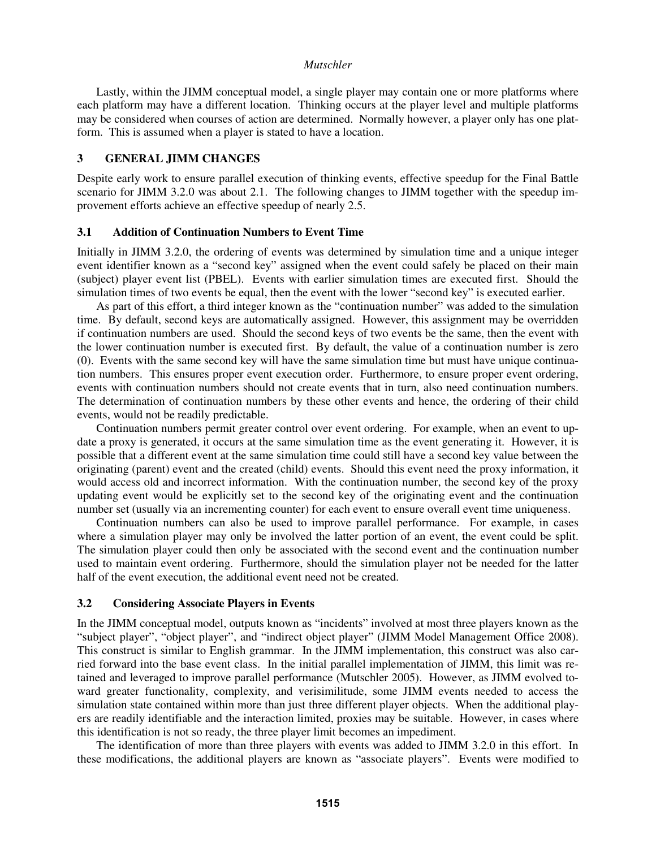Lastly, within the JIMM conceptual model, a single player may contain one or more platforms where each platform may have a different location. Thinking occurs at the player level and multiple platforms may be considered when courses of action are determined. Normally however, a player only has one platform. This is assumed when a player is stated to have a location.

# **3 GENERAL JIMM CHANGES**

Despite early work to ensure parallel execution of thinking events, effective speedup for the Final Battle scenario for JIMM 3.2.0 was about 2.1. The following changes to JIMM together with the speedup improvement efforts achieve an effective speedup of nearly 2.5.

#### **3.1 Addition of Continuation Numbers to Event Time**

Initially in JIMM 3.2.0, the ordering of events was determined by simulation time and a unique integer event identifier known as a "second key" assigned when the event could safely be placed on their main (subject) player event list (PBEL). Events with earlier simulation times are executed first. Should the simulation times of two events be equal, then the event with the lower "second key" is executed earlier.

As part of this effort, a third integer known as the "continuation number" was added to the simulation time. By default, second keys are automatically assigned. However, this assignment may be overridden if continuation numbers are used. Should the second keys of two events be the same, then the event with the lower continuation number is executed first. By default, the value of a continuation number is zero (0). Events with the same second key will have the same simulation time but must have unique continuation numbers. This ensures proper event execution order. Furthermore, to ensure proper event ordering, events with continuation numbers should not create events that in turn, also need continuation numbers. The determination of continuation numbers by these other events and hence, the ordering of their child events, would not be readily predictable.

Continuation numbers permit greater control over event ordering. For example, when an event to update a proxy is generated, it occurs at the same simulation time as the event generating it. However, it is possible that a different event at the same simulation time could still have a second key value between the originating (parent) event and the created (child) events. Should this event need the proxy information, it would access old and incorrect information. With the continuation number, the second key of the proxy updating event would be explicitly set to the second key of the originating event and the continuation number set (usually via an incrementing counter) for each event to ensure overall event time uniqueness.

Continuation numbers can also be used to improve parallel performance. For example, in cases where a simulation player may only be involved the latter portion of an event, the event could be split. The simulation player could then only be associated with the second event and the continuation number used to maintain event ordering. Furthermore, should the simulation player not be needed for the latter half of the event execution, the additional event need not be created.

#### **3.2 Considering Associate Players in Events**

In the JIMM conceptual model, outputs known as "incidents" involved at most three players known as the "subject player", "object player", and "indirect object player" (JIMM Model Management Office 2008). This construct is similar to English grammar. In the JIMM implementation, this construct was also carried forward into the base event class. In the initial parallel implementation of JIMM, this limit was retained and leveraged to improve parallel performance (Mutschler 2005). However, as JIMM evolved toward greater functionality, complexity, and verisimilitude, some JIMM events needed to access the simulation state contained within more than just three different player objects. When the additional players are readily identifiable and the interaction limited, proxies may be suitable. However, in cases where this identification is not so ready, the three player limit becomes an impediment.

The identification of more than three players with events was added to JIMM 3.2.0 in this effort. In these modifications, the additional players are known as "associate players". Events were modified to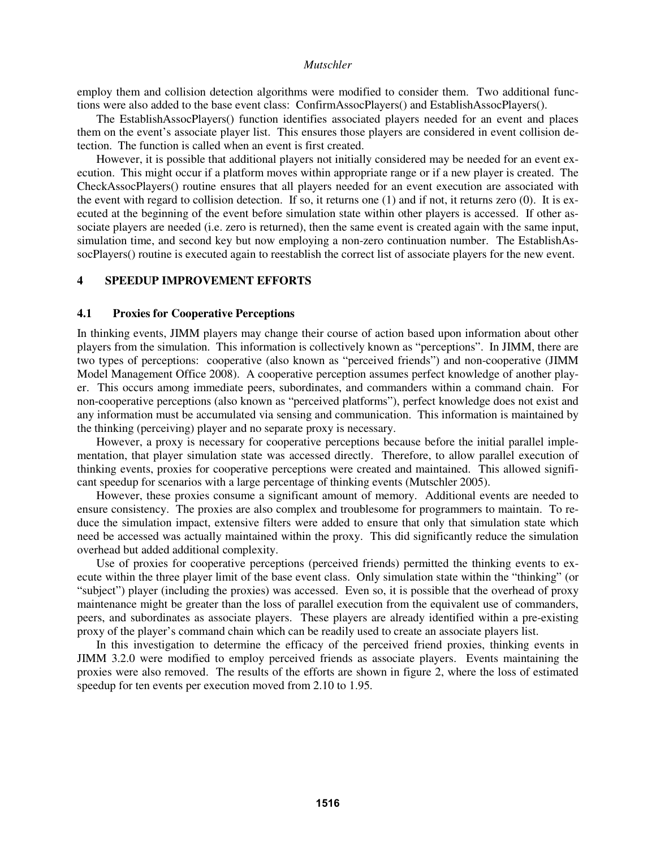employ them and collision detection algorithms were modified to consider them. Two additional functions were also added to the base event class: ConfirmAssocPlayers() and EstablishAssocPlayers().

The EstablishAssocPlayers() function identifies associated players needed for an event and places them on the event's associate player list. This ensures those players are considered in event collision detection. The function is called when an event is first created.

However, it is possible that additional players not initially considered may be needed for an event execution. This might occur if a platform moves within appropriate range or if a new player is created. The CheckAssocPlayers() routine ensures that all players needed for an event execution are associated with the event with regard to collision detection. If so, it returns one (1) and if not, it returns zero (0). It is executed at the beginning of the event before simulation state within other players is accessed. If other associate players are needed (i.e. zero is returned), then the same event is created again with the same input, simulation time, and second key but now employing a non-zero continuation number. The EstablishAssocPlayers() routine is executed again to reestablish the correct list of associate players for the new event.

#### **4 SPEEDUP IMPROVEMENT EFFORTS**

#### **4.1 Proxies for Cooperative Perceptions**

In thinking events, JIMM players may change their course of action based upon information about other players from the simulation. This information is collectively known as "perceptions". In JIMM, there are two types of perceptions: cooperative (also known as "perceived friends") and non-cooperative (JIMM Model Management Office 2008). A cooperative perception assumes perfect knowledge of another player. This occurs among immediate peers, subordinates, and commanders within a command chain. For non-cooperative perceptions (also known as "perceived platforms"), perfect knowledge does not exist and any information must be accumulated via sensing and communication. This information is maintained by the thinking (perceiving) player and no separate proxy is necessary.

However, a proxy is necessary for cooperative perceptions because before the initial parallel implementation, that player simulation state was accessed directly. Therefore, to allow parallel execution of thinking events, proxies for cooperative perceptions were created and maintained. This allowed significant speedup for scenarios with a large percentage of thinking events (Mutschler 2005).

However, these proxies consume a significant amount of memory. Additional events are needed to ensure consistency. The proxies are also complex and troublesome for programmers to maintain. To reduce the simulation impact, extensive filters were added to ensure that only that simulation state which need be accessed was actually maintained within the proxy. This did significantly reduce the simulation overhead but added additional complexity.

Use of proxies for cooperative perceptions (perceived friends) permitted the thinking events to execute within the three player limit of the base event class. Only simulation state within the "thinking" (or "subject") player (including the proxies) was accessed. Even so, it is possible that the overhead of proxy maintenance might be greater than the loss of parallel execution from the equivalent use of commanders, peers, and subordinates as associate players. These players are already identified within a pre-existing proxy of the player's command chain which can be readily used to create an associate players list.

In this investigation to determine the efficacy of the perceived friend proxies, thinking events in JIMM 3.2.0 were modified to employ perceived friends as associate players. Events maintaining the proxies were also removed. The results of the efforts are shown in figure 2, where the loss of estimated speedup for ten events per execution moved from 2.10 to 1.95.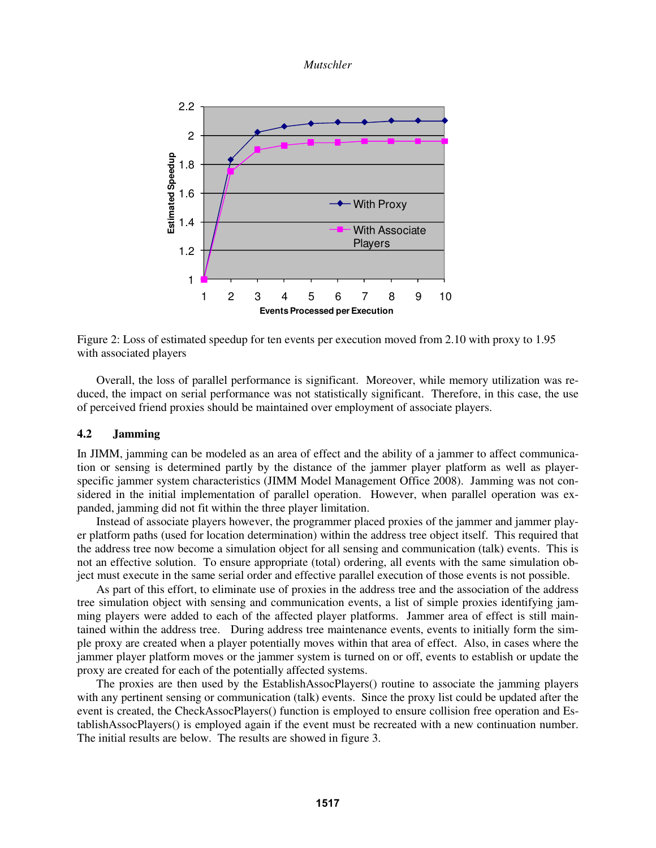

Figure 2: Loss of estimated speedup for ten events per execution moved from 2.10 with proxy to 1.95 with associated players

Overall, the loss of parallel performance is significant. Moreover, while memory utilization was reduced, the impact on serial performance was not statistically significant. Therefore, in this case, the use of perceived friend proxies should be maintained over employment of associate players.

### **4.2 Jamming**

In JIMM, jamming can be modeled as an area of effect and the ability of a jammer to affect communication or sensing is determined partly by the distance of the jammer player platform as well as playerspecific jammer system characteristics (JIMM Model Management Office 2008). Jamming was not considered in the initial implementation of parallel operation. However, when parallel operation was expanded, jamming did not fit within the three player limitation.

Instead of associate players however, the programmer placed proxies of the jammer and jammer player platform paths (used for location determination) within the address tree object itself. This required that the address tree now become a simulation object for all sensing and communication (talk) events. This is not an effective solution. To ensure appropriate (total) ordering, all events with the same simulation object must execute in the same serial order and effective parallel execution of those events is not possible.

As part of this effort, to eliminate use of proxies in the address tree and the association of the address tree simulation object with sensing and communication events, a list of simple proxies identifying jamming players were added to each of the affected player platforms. Jammer area of effect is still maintained within the address tree. During address tree maintenance events, events to initially form the simple proxy are created when a player potentially moves within that area of effect. Also, in cases where the jammer player platform moves or the jammer system is turned on or off, events to establish or update the proxy are created for each of the potentially affected systems.

The proxies are then used by the EstablishAssocPlayers() routine to associate the jamming players with any pertinent sensing or communication (talk) events. Since the proxy list could be updated after the event is created, the CheckAssocPlayers() function is employed to ensure collision free operation and EstablishAssocPlayers() is employed again if the event must be recreated with a new continuation number. The initial results are below. The results are showed in figure 3.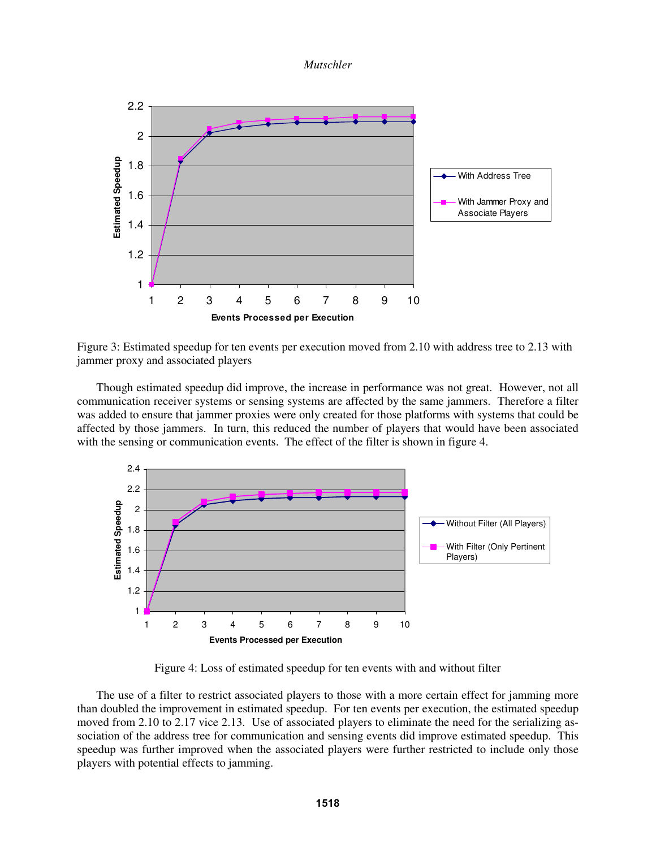



Figure 3: Estimated speedup for ten events per execution moved from 2.10 with address tree to 2.13 with jammer proxy and associated players

Though estimated speedup did improve, the increase in performance was not great. However, not all communication receiver systems or sensing systems are affected by the same jammers. Therefore a filter was added to ensure that jammer proxies were only created for those platforms with systems that could be affected by those jammers. In turn, this reduced the number of players that would have been associated with the sensing or communication events. The effect of the filter is shown in figure 4.



Figure 4: Loss of estimated speedup for ten events with and without filter

The use of a filter to restrict associated players to those with a more certain effect for jamming more than doubled the improvement in estimated speedup. For ten events per execution, the estimated speedup moved from 2.10 to 2.17 vice 2.13. Use of associated players to eliminate the need for the serializing association of the address tree for communication and sensing events did improve estimated speedup. This speedup was further improved when the associated players were further restricted to include only those players with potential effects to jamming.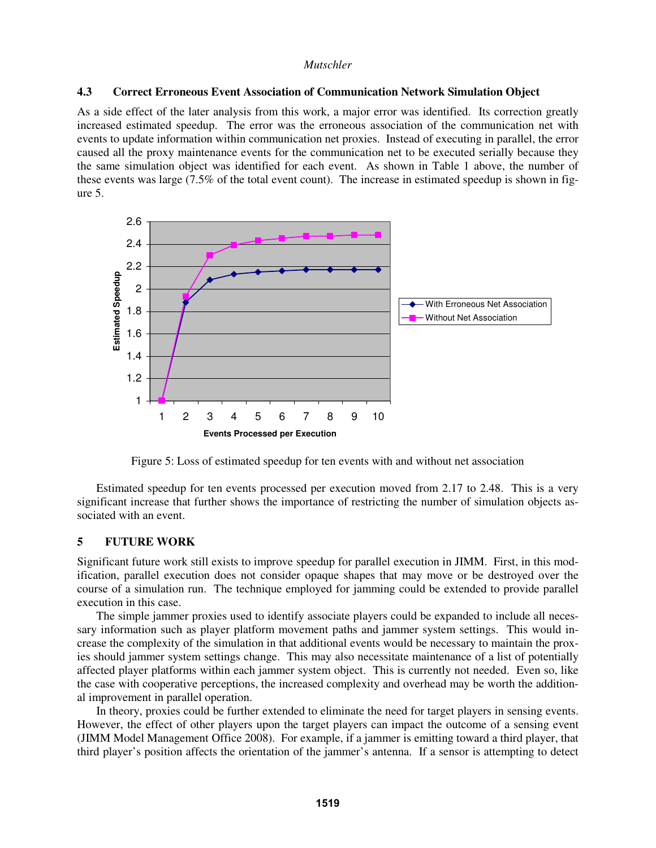### **4.3 Correct Erroneous Event Association of Communication Network Simulation Object**

As a side effect of the later analysis from this work, a major error was identified. Its correction greatly increased estimated speedup. The error was the erroneous association of the communication net with events to update information within communication net proxies. Instead of executing in parallel, the error caused all the proxy maintenance events for the communication net to be executed serially because they the same simulation object was identified for each event. As shown in Table 1 above, the number of these events was large (7.5% of the total event count). The increase in estimated speedup is shown in figure 5.



Figure 5: Loss of estimated speedup for ten events with and without net association

Estimated speedup for ten events processed per execution moved from 2.17 to 2.48. This is a very significant increase that further shows the importance of restricting the number of simulation objects associated with an event.

# **5 FUTURE WORK**

Significant future work still exists to improve speedup for parallel execution in JIMM. First, in this modification, parallel execution does not consider opaque shapes that may move or be destroyed over the course of a simulation run. The technique employed for jamming could be extended to provide parallel execution in this case.

The simple jammer proxies used to identify associate players could be expanded to include all necessary information such as player platform movement paths and jammer system settings. This would increase the complexity of the simulation in that additional events would be necessary to maintain the proxies should jammer system settings change. This may also necessitate maintenance of a list of potentially affected player platforms within each jammer system object. This is currently not needed. Even so, like the case with cooperative perceptions, the increased complexity and overhead may be worth the additional improvement in parallel operation.

In theory, proxies could be further extended to eliminate the need for target players in sensing events. However, the effect of other players upon the target players can impact the outcome of a sensing event (JIMM Model Management Office 2008). For example, if a jammer is emitting toward a third player, that third player's position affects the orientation of the jammer's antenna. If a sensor is attempting to detect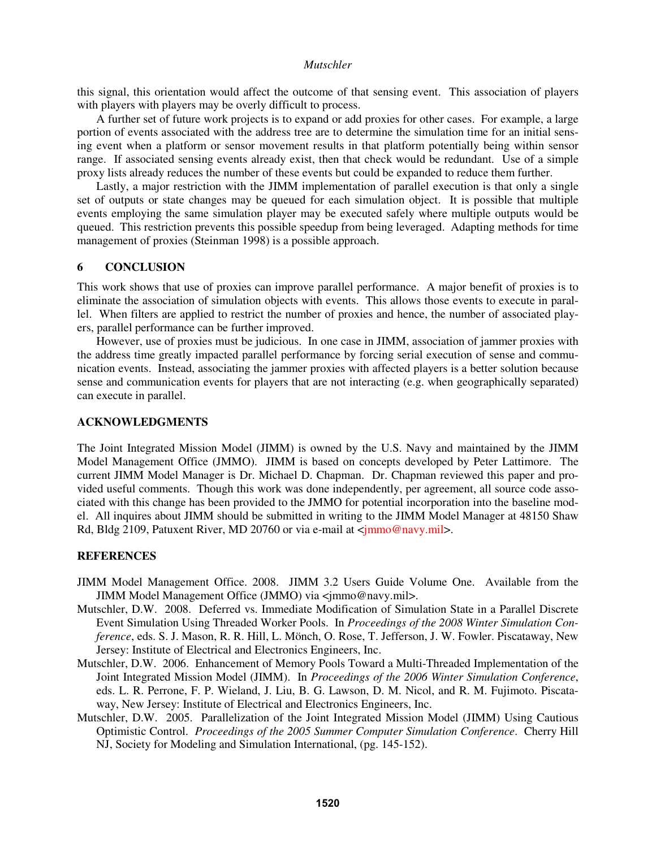this signal, this orientation would affect the outcome of that sensing event. This association of players with players with players may be overly difficult to process.

A further set of future work projects is to expand or add proxies for other cases. For example, a large portion of events associated with the address tree are to determine the simulation time for an initial sensing event when a platform or sensor movement results in that platform potentially being within sensor range. If associated sensing events already exist, then that check would be redundant. Use of a simple proxy lists already reduces the number of these events but could be expanded to reduce them further.

Lastly, a major restriction with the JIMM implementation of parallel execution is that only a single set of outputs or state changes may be queued for each simulation object. It is possible that multiple events employing the same simulation player may be executed safely where multiple outputs would be queued. This restriction prevents this possible speedup from being leveraged. Adapting methods for time management of proxies (Steinman 1998) is a possible approach.

### **6 CONCLUSION**

This work shows that use of proxies can improve parallel performance. A major benefit of proxies is to eliminate the association of simulation objects with events. This allows those events to execute in parallel. When filters are applied to restrict the number of proxies and hence, the number of associated players, parallel performance can be further improved.

However, use of proxies must be judicious. In one case in JIMM, association of jammer proxies with the address time greatly impacted parallel performance by forcing serial execution of sense and communication events. Instead, associating the jammer proxies with affected players is a better solution because sense and communication events for players that are not interacting (e.g. when geographically separated) can execute in parallel.

### **ACKNOWLEDGMENTS**

The Joint Integrated Mission Model (JIMM) is owned by the U.S. Navy and maintained by the JIMM Model Management Office (JMMO). JIMM is based on concepts developed by Peter Lattimore. The current JIMM Model Manager is Dr. Michael D. Chapman. Dr. Chapman reviewed this paper and provided useful comments. Though this work was done independently, per agreement, all source code associated with this change has been provided to the JMMO for potential incorporation into the baseline model. All inquires about JIMM should be submitted in writing to the JIMM Model Manager at 48150 Shaw Rd, Bldg 2109, Patuxent River, MD 20760 or via e-mail at  $\langle \text{immo@navy}, \text{mil}\rangle$ .

# **REFERENCES**

- JIMM Model Management Office. 2008. JIMM 3.2 Users Guide Volume One. Available from the JIMM Model Management Office (JMMO) via <jmmo@navy.mil>.
- Mutschler, D.W. 2008. Deferred vs. Immediate Modification of Simulation State in a Parallel Discrete Event Simulation Using Threaded Worker Pools. In *Proceedings of the 2008 Winter Simulation Conference*, eds. S. J. Mason, R. R. Hill, L. Mönch, O. Rose, T. Jefferson, J. W. Fowler. Piscataway, New Jersey: Institute of Electrical and Electronics Engineers, Inc.
- Mutschler, D.W. 2006. Enhancement of Memory Pools Toward a Multi-Threaded Implementation of the Joint Integrated Mission Model (JIMM). In *Proceedings of the 2006 Winter Simulation Conference*, eds. L. R. Perrone, F. P. Wieland, J. Liu, B. G. Lawson, D. M. Nicol, and R. M. Fujimoto. Piscataway, New Jersey: Institute of Electrical and Electronics Engineers, Inc.
- Mutschler, D.W. 2005. Parallelization of the Joint Integrated Mission Model (JIMM) Using Cautious Optimistic Control. *Proceedings of the 2005 Summer Computer Simulation Conference*. Cherry Hill NJ, Society for Modeling and Simulation International, (pg. 145-152).